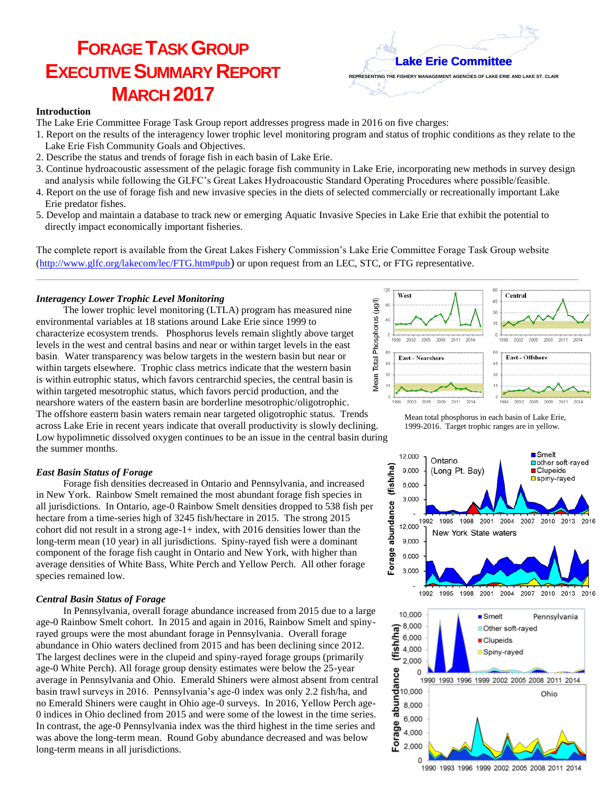# **FORAGE TASK GROUP EXECUTIVE SUMMARY REPORT MARCH 2017**

**Lake Erie Committee**

**REPRESENTING THE FISHERY MANAGEMENT AGENCIES OF LAKE ERIE AND LAKE ST. CLAIR**

#### **Introduction**

The Lake Erie Committee Forage Task Group report addresses progress made in 2016 on five charges:

- 1. Report on the results of the interagency lower trophic level monitoring program and status of trophic conditions as they relate to the Lake Erie Fish Community Goals and Objectives.
- 2. Describe the status and trends of forage fish in each basin of Lake Erie.
- 3. Continue hydroacoustic assessment of the pelagic forage fish community in Lake Erie, incorporating new methods in survey design and analysis while following the GLFC's Great Lakes Hydroacoustic Standard Operating Procedures where possible/feasible.
- 4. Report on the use of forage fish and new invasive species in the diets of selected commercially or recreationally important Lake Erie predator fishes.
- 5. Develop and maintain a database to track new or emerging Aquatic Invasive Species in Lake Erie that exhibit the potential to directly impact economically important fisheries.

The complete report is available from the Great Lakes Fishery Commission's Lake Erie Committee Forage Task Group website [\(http://www.glfc.org/lakecom/lec/FTG.htm#pub](http://www.glfc.org/lakecom/lec/FTG.htm#pub)) or upon request from an LEC, STC, or FTG representative.

\_\_\_\_\_\_\_\_\_\_\_\_\_\_\_\_\_\_\_\_\_\_\_\_\_\_\_\_\_\_\_\_\_\_\_\_\_\_\_\_\_\_\_\_\_\_\_\_\_\_\_\_\_\_\_\_\_\_\_\_\_\_\_\_\_\_\_\_\_\_\_\_\_\_\_\_\_\_\_\_\_\_\_\_\_\_\_\_\_\_\_\_\_\_\_\_\_\_\_\_\_\_\_\_\_\_\_\_

# *Interagency Lower Trophic Level Monitoring*

The lower trophic level monitoring (LTLA) program has measured nine environmental variables at 18 stations around Lake Erie since 1999 to characterize ecosystem trends. Phosphorus levels remain slightly above target levels in the west and central basins and near or within target levels in the east basin. Water transparency was below targets in the western basin but near or within targets elsewhere. Trophic class metrics indicate that the western basin is within eutrophic status, which favors centrarchid species, the central basin is within targeted mesotrophic status, which favors percid production, and the nearshore waters of the eastern basin are borderline mesotrophic/oligotrophic. The offshore eastern basin waters remain near targeted oligotrophic status. Trends across Lake Erie in recent years indicate that overall productivity is slowly declining. Low hypolimnetic dissolved oxygen continues to be an issue in the central basin during the summer months.





12,000

9,000

6,000

Ontario

(Long Pt. Bay)

**■Smelt** 

 $\blacksquare$  Clupeids **□**spiny-rayed

nother soft-raved

# *East Basin Status of Forage*

Forage fish densities decreased in Ontario and Pennsylvania, and increased in New York. Rainbow Smelt remained the most abundant forage fish species in all jurisdictions. In Ontario, age-0 Rainbow Smelt densities dropped to 538 fish per hectare from a time-series high of 3245 fish/hectare in 2015. The strong 2015 cohort did not result in a strong age-1+ index, with 2016 densities lower than the long-term mean (10 year) in all jurisdictions. Spiny-rayed fish were a dominant component of the forage fish caught in Ontario and New York, with higher than average densities of White Bass, White Perch and Yellow Perch. All other forage species remained low.

# *Central Basin Status of Forage*

In Pennsylvania, overall forage abundance increased from 2015 due to a large age-0 Rainbow Smelt cohort. In 2015 and again in 2016, Rainbow Smelt and spinyrayed groups were the most abundant forage in Pennsylvania. Overall forage abundance in Ohio waters declined from 2015 and has been declining since 2012. The largest declines were in the clupeid and spiny-rayed forage groups (primarily age-0 White Perch). All forage group density estimates were below the 25-year average in Pennsylvania and Ohio. Emerald Shiners were almost absent from central basin trawl surveys in 2016. Pennsylvania's age-0 index was only 2.2 fish/ha, and no Emerald Shiners were caught in Ohio age-0 surveys. In 2016, Yellow Perch age-0 indices in Ohio declined from 2015 and were some of the lowest in the time series. In contrast, the age-0 Pennsylvania index was the third highest in the time series and was above the long-term mean. Round Goby abundance decreased and was below long-term means in all jurisdictions.



1990 1993 1996 1999 2002 2005 2008 2011 2014